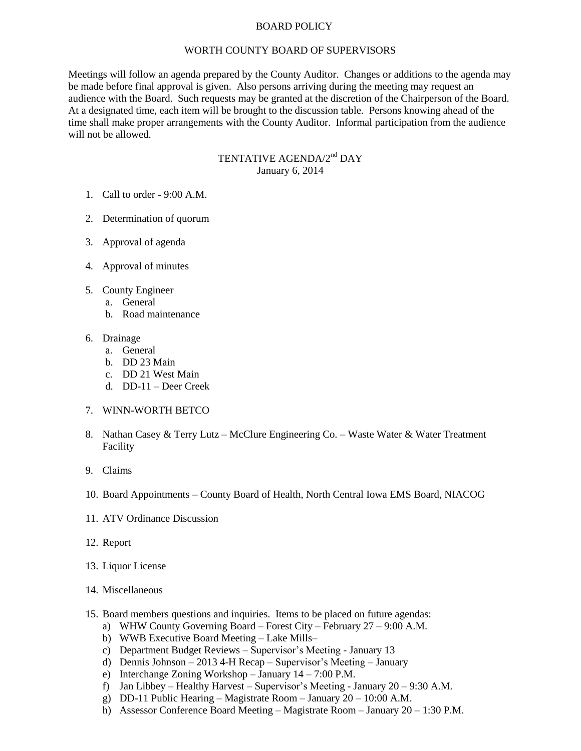## BOARD POLICY

## WORTH COUNTY BOARD OF SUPERVISORS

Meetings will follow an agenda prepared by the County Auditor. Changes or additions to the agenda may be made before final approval is given. Also persons arriving during the meeting may request an audience with the Board. Such requests may be granted at the discretion of the Chairperson of the Board. At a designated time, each item will be brought to the discussion table. Persons knowing ahead of the time shall make proper arrangements with the County Auditor. Informal participation from the audience will not be allowed.

## TENTATIVE AGENDA/2<sup>nd</sup> DAY January 6, 2014

- 1. Call to order 9:00 A.M.
- 2. Determination of quorum
- 3. Approval of agenda
- 4. Approval of minutes
- 5. County Engineer
	- a. General
	- b. Road maintenance
- 6. Drainage
	- a. General
	- b. DD 23 Main
	- c. DD 21 West Main
	- d. DD-11 Deer Creek

## 7. WINN-WORTH BETCO

- 8. Nathan Casey & Terry Lutz McClure Engineering Co. Waste Water & Water Treatment Facility
- 9. Claims
- 10. Board Appointments County Board of Health, North Central Iowa EMS Board, NIACOG
- 11. ATV Ordinance Discussion
- 12. Report
- 13. Liquor License
- 14. Miscellaneous
- 15. Board members questions and inquiries. Items to be placed on future agendas:
	- a) WHW County Governing Board Forest City February 27 9:00 A.M.
	- b) WWB Executive Board Meeting Lake Mills–
	- c) Department Budget Reviews Supervisor's Meeting January 13
	- d) Dennis Johnson 2013 4-H Recap Supervisor's Meeting January
	- e) Interchange Zoning Workshop January 14 7:00 P.M.
	- f) Jan Libbey Healthy Harvest Supervisor's Meeting January 20 9:30 A.M.
	- g) DD-11 Public Hearing Magistrate Room January 20 10:00 A.M.
	- h) Assessor Conference Board Meeting Magistrate Room January 20 1:30 P.M.